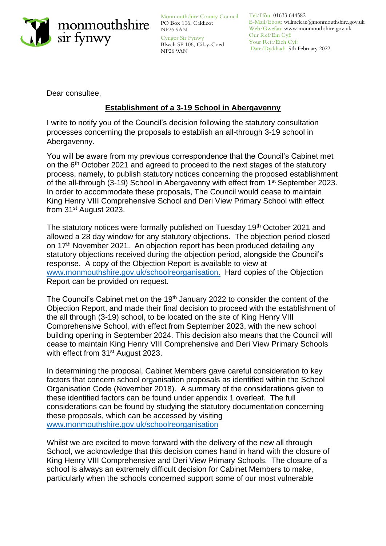

Monmouthshire County Council Tel/Ffôn: 01633 644582 PO Box 106, Caldicot NP26 9AN

Cyngor Sir Fynwy Blwch SP 106, Cil-y-Coed NP26 9AN

E-Mail/Ebost: willmclean@monmouthshire.gov.uk Web/Gwefan: www.monmouthshire.gov.uk Our Ref/Ein Cyf: Your Ref:/Eich Cyf: Date/Dyddiad: 9th February 2022

Dear consultee,

# **Establishment of a 3-19 School in Abergavenny**

I write to notify you of the Council's decision following the statutory consultation processes concerning the proposals to establish an all-through 3-19 school in Abergavenny.

You will be aware from my previous correspondence that the Council's Cabinet met on the 6<sup>th</sup> October 2021 and agreed to proceed to the next stages of the statutory process, namely, to publish statutory notices concerning the proposed establishment of the all-through (3-19) School in Abergavenny with effect from 1<sup>st</sup> September 2023. In order to accommodate these proposals, The Council would cease to maintain King Henry VIII Comprehensive School and Deri View Primary School with effect from 31st August 2023.

The statutory notices were formally published on Tuesday 19<sup>th</sup> October 2021 and allowed a 28 day window for any statutory objections. The objection period closed on 17th November 2021. An objection report has been produced detailing any statutory objections received during the objection period, alongside the Council's response. A copy of the Objection Report is available to view at [www.monmouthshire.gov.uk/schoolreorganisation.](http://www.monmouthshire.gov.uk/schoolreorganisation) Hard copies of the Objection Report can be provided on request.

The Council's Cabinet met on the 19<sup>th</sup> January 2022 to consider the content of the Objection Report, and made their final decision to proceed with the establishment of the all through (3-19) school, to be located on the site of King Henry VIII Comprehensive School, with effect from September 2023, with the new school building opening in September 2024. This decision also means that the Council will cease to maintain King Henry VIII Comprehensive and Deri View Primary Schools with effect from 31<sup>st</sup> August 2023.

In determining the proposal, Cabinet Members gave careful consideration to key factors that concern school organisation proposals as identified within the School Organisation Code (November 2018). A summary of the considerations given to these identified factors can be found under appendix 1 overleaf. The full considerations can be found by studying the statutory documentation concerning these proposals, which can be accessed by visiting [www.monmouthshire.gov.uk/schoolreorganisation](http://www.monmouthshire.gov.uk/schoolreorganisation)

Whilst we are excited to move forward with the delivery of the new all through School, we acknowledge that this decision comes hand in hand with the closure of King Henry VIII Comprehensive and Deri View Primary Schools. The closure of a school is always an extremely difficult decision for Cabinet Members to make, particularly when the schools concerned support some of our most vulnerable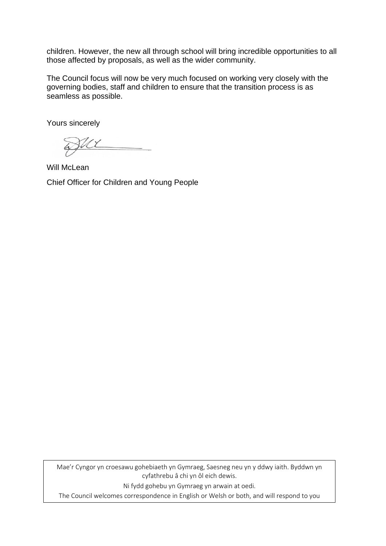children. However, the new all through school will bring incredible opportunities to all those affected by proposals, as well as the wider community.

The Council focus will now be very much focused on working very closely with the governing bodies, staff and children to ensure that the transition process is as seamless as possible.

Yours sincerely

ML

Will McLean Chief Officer for Children and Young People

Mae'r Cyngor yn croesawu gohebiaeth yn Gymraeg, Saesneg neu yn y ddwy iaith. Byddwn yn cyfathrebu â chi yn ôl eich dewis.

Ni fydd gohebu yn Gymraeg yn arwain at oedi.

The Council welcomes correspondence in English or Welsh or both, and will respond to you according to your preference. Corresponding in Welsh will not lead to delay.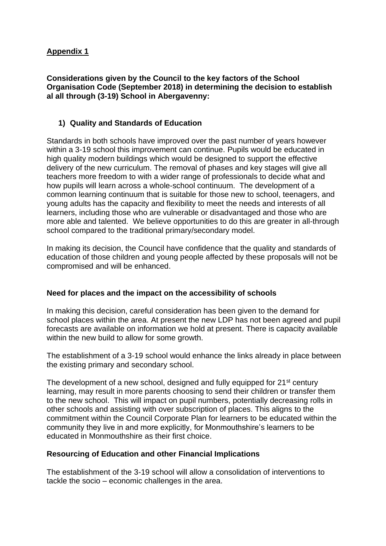## **Appendix 1**

#### **Considerations given by the Council to the key factors of the School Organisation Code (September 2018) in determining the decision to establish al all through (3-19) School in Abergavenny:**

### **1) Quality and Standards of Education**

Standards in both schools have improved over the past number of years however within a 3-19 school this improvement can continue. Pupils would be educated in high quality modern buildings which would be designed to support the effective delivery of the new curriculum. The removal of phases and key stages will give all teachers more freedom to with a wider range of professionals to decide what and how pupils will learn across a whole-school continuum. The development of a common learning continuum that is suitable for those new to school, teenagers, and young adults has the capacity and flexibility to meet the needs and interests of all learners, including those who are vulnerable or disadvantaged and those who are more able and talented. We believe opportunities to do this are greater in all-through school compared to the traditional primary/secondary model.

In making its decision, the Council have confidence that the quality and standards of education of those children and young people affected by these proposals will not be compromised and will be enhanced.

#### **Need for places and the impact on the accessibility of schools**

In making this decision, careful consideration has been given to the demand for school places within the area. At present the new LDP has not been agreed and pupil forecasts are available on information we hold at present. There is capacity available within the new build to allow for some growth.

The establishment of a 3-19 school would enhance the links already in place between the existing primary and secondary school.

The development of a new school, designed and fully equipped for 21<sup>st</sup> century learning, may result in more parents choosing to send their children or transfer them to the new school. This will impact on pupil numbers, potentially decreasing rolls in other schools and assisting with over subscription of places. This aligns to the commitment within the Council Corporate Plan for learners to be educated within the community they live in and more explicitly, for Monmouthshire's learners to be educated in Monmouthshire as their first choice.

#### **Resourcing of Education and other Financial Implications**

The establishment of the 3-19 school will allow a consolidation of interventions to tackle the socio – economic challenges in the area.